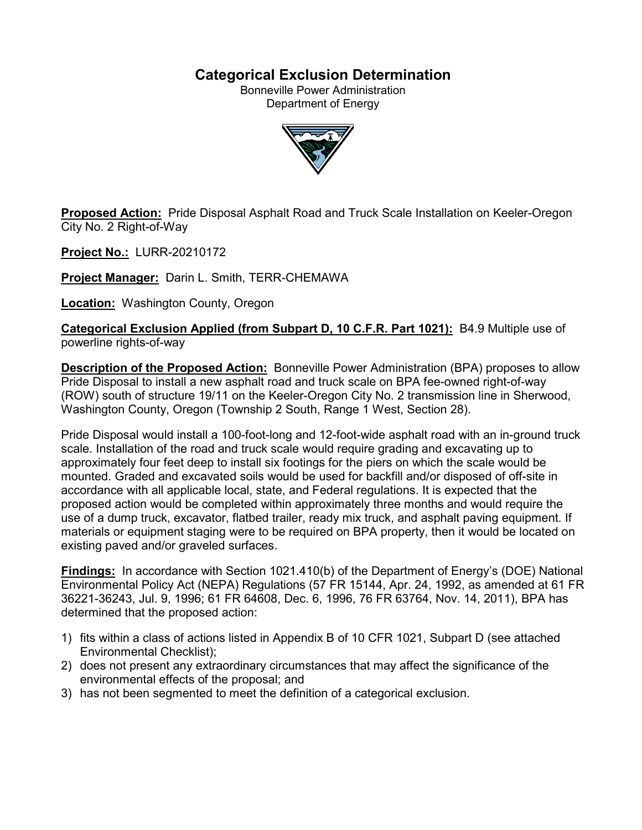# **Categorical Exclusion Determination**

Bonneville Power Administration Department of Energy



**Proposed Action:** Pride Disposal Asphalt Road and Truck Scale Installation on Keeler-Oregon City No. 2 Right-of-Way

**Project No.:** LURR-20210172

**Project Manager:** Darin L. Smith, TERR-CHEMAWA

**Location:** Washington County, Oregon

**Categorical Exclusion Applied (from Subpart D, 10 C.F.R. Part 1021):** B4.9 Multiple use of powerline rights-of-way

**Description of the Proposed Action:** Bonneville Power Administration (BPA) proposes to allow Pride Disposal to install a new asphalt road and truck scale on BPA fee-owned right-of-way (ROW) south of structure 19/11 on the Keeler-Oregon City No. 2 transmission line in Sherwood, Washington County, Oregon (Township 2 South, Range 1 West, Section 28).

Pride Disposal would install a 100-foot-long and 12-foot-wide asphalt road with an in-ground truck scale. Installation of the road and truck scale would require grading and excavating up to approximately four feet deep to install six footings for the piers on which the scale would be mounted. Graded and excavated soils would be used for backfill and/or disposed of off-site in accordance with all applicable local, state, and Federal regulations. It is expected that the proposed action would be completed within approximately three months and would require the use of a dump truck, excavator, flatbed trailer, ready mix truck, and asphalt paving equipment. If materials or equipment staging were to be required on BPA property, then it would be located on existing paved and/or graveled surfaces.

**Findings:** In accordance with Section 1021.410(b) of the Department of Energy's (DOE) National Environmental Policy Act (NEPA) Regulations (57 FR 15144, Apr. 24, 1992, as amended at 61 FR 36221-36243, Jul. 9, 1996; 61 FR 64608, Dec. 6, 1996, 76 FR 63764, Nov. 14, 2011), BPA has determined that the proposed action:

- 1) fits within a class of actions listed in Appendix B of 10 CFR 1021, Subpart D (see attached Environmental Checklist);
- 2) does not present any extraordinary circumstances that may affect the significance of the environmental effects of the proposal; and
- 3) has not been segmented to meet the definition of a categorical exclusion.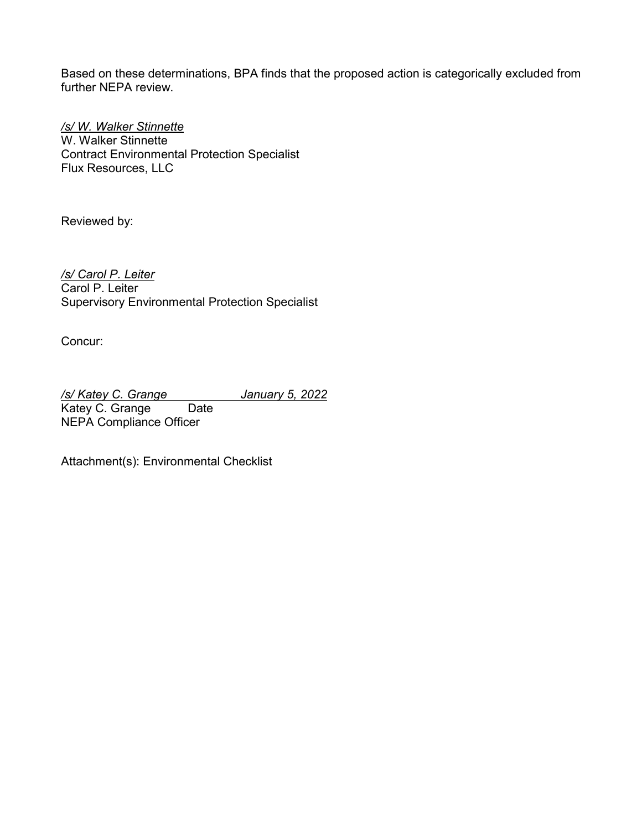Based on these determinations, BPA finds that the proposed action is categorically excluded from further NEPA review.

*/s/ W. Walker Stinnette* W. Walker Stinnette Contract Environmental Protection Specialist Flux Resources, LLC

Reviewed by:

*/s/ Carol P. Leiter* Carol P. Leiter Supervisory Environmental Protection Specialist

Concur:

*/s/ Katey C. Grange January 5, 2022* Katey C. Grange Date NEPA Compliance Officer

Attachment(s): Environmental Checklist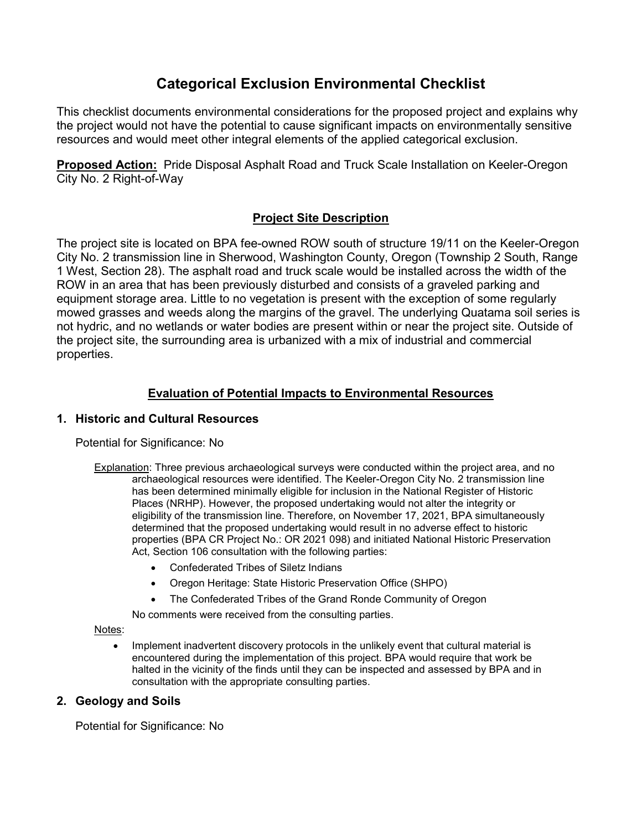# **Categorical Exclusion Environmental Checklist**

This checklist documents environmental considerations for the proposed project and explains why the project would not have the potential to cause significant impacts on environmentally sensitive resources and would meet other integral elements of the applied categorical exclusion.

**Proposed Action:** Pride Disposal Asphalt Road and Truck Scale Installation on Keeler-Oregon City No. 2 Right-of-Way

# **Project Site Description**

The project site is located on BPA fee-owned ROW south of structure 19/11 on the Keeler-Oregon City No. 2 transmission line in Sherwood, Washington County, Oregon (Township 2 South, Range 1 West, Section 28). The asphalt road and truck scale would be installed across the width of the ROW in an area that has been previously disturbed and consists of a graveled parking and equipment storage area. Little to no vegetation is present with the exception of some regularly mowed grasses and weeds along the margins of the gravel. The underlying Quatama soil series is not hydric, and no wetlands or water bodies are present within or near the project site. Outside of the project site, the surrounding area is urbanized with a mix of industrial and commercial properties.

# **Evaluation of Potential Impacts to Environmental Resources**

## **1. Historic and Cultural Resources**

Potential for Significance: No

- Explanation: Three previous archaeological surveys were conducted within the project area, and no archaeological resources were identified. The Keeler-Oregon City No. 2 transmission line has been determined minimally eligible for inclusion in the National Register of Historic Places (NRHP). However, the proposed undertaking would not alter the integrity or eligibility of the transmission line. Therefore, on November 17, 2021, BPA simultaneously determined that the proposed undertaking would result in no adverse effect to historic properties (BPA CR Project No.: OR 2021 098) and initiated National Historic Preservation Act, Section 106 consultation with the following parties:
	- Confederated Tribes of Siletz Indians
	- Oregon Heritage: State Historic Preservation Office (SHPO)
	- The Confederated Tribes of the Grand Ronde Community of Oregon

No comments were received from the consulting parties.

#### Notes:

• Implement inadvertent discovery protocols in the unlikely event that cultural material is encountered during the implementation of this project. BPA would require that work be halted in the vicinity of the finds until they can be inspected and assessed by BPA and in consultation with the appropriate consulting parties.

## **2. Geology and Soils**

Potential for Significance: No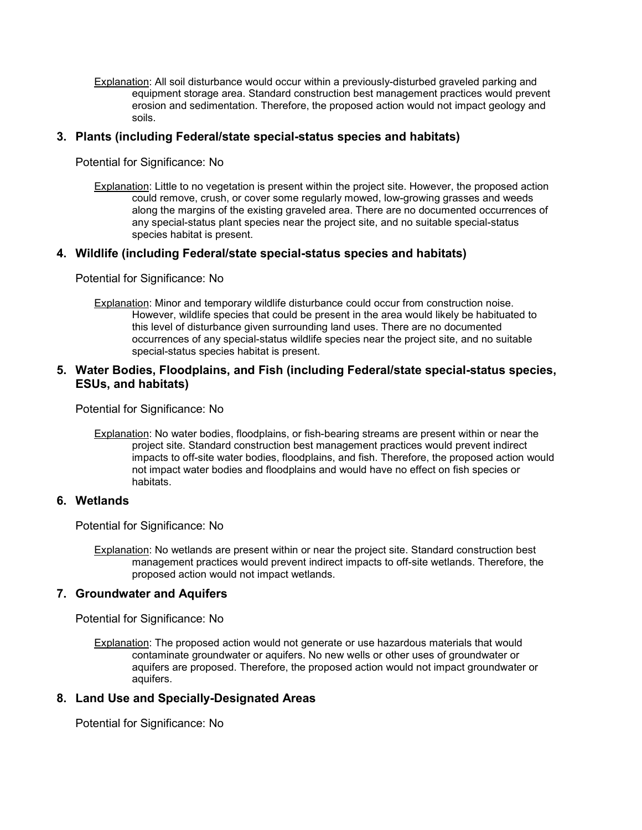Explanation: All soil disturbance would occur within a previously-disturbed graveled parking and equipment storage area. Standard construction best management practices would prevent erosion and sedimentation. Therefore, the proposed action would not impact geology and soils.

#### **3. Plants (including Federal/state special-status species and habitats)**

Potential for Significance: No

Explanation: Little to no vegetation is present within the project site. However, the proposed action could remove, crush, or cover some regularly mowed, low-growing grasses and weeds along the margins of the existing graveled area. There are no documented occurrences of any special-status plant species near the project site, and no suitable special-status species habitat is present.

#### **4. Wildlife (including Federal/state special-status species and habitats)**

Potential for Significance: No

Explanation: Minor and temporary wildlife disturbance could occur from construction noise. However, wildlife species that could be present in the area would likely be habituated to this level of disturbance given surrounding land uses. There are no documented occurrences of any special-status wildlife species near the project site, and no suitable special-status species habitat is present.

#### **5. Water Bodies, Floodplains, and Fish (including Federal/state special-status species, ESUs, and habitats)**

Potential for Significance: No

Explanation: No water bodies, floodplains, or fish-bearing streams are present within or near the project site. Standard construction best management practices would prevent indirect impacts to off-site water bodies, floodplains, and fish. Therefore, the proposed action would not impact water bodies and floodplains and would have no effect on fish species or habitats.

#### **6. Wetlands**

Potential for Significance: No

Explanation: No wetlands are present within or near the project site. Standard construction best management practices would prevent indirect impacts to off-site wetlands. Therefore, the proposed action would not impact wetlands.

#### **7. Groundwater and Aquifers**

Potential for Significance: No

Explanation: The proposed action would not generate or use hazardous materials that would contaminate groundwater or aquifers. No new wells or other uses of groundwater or aquifers are proposed. Therefore, the proposed action would not impact groundwater or aquifers.

#### **8. Land Use and Specially-Designated Areas**

Potential for Significance: No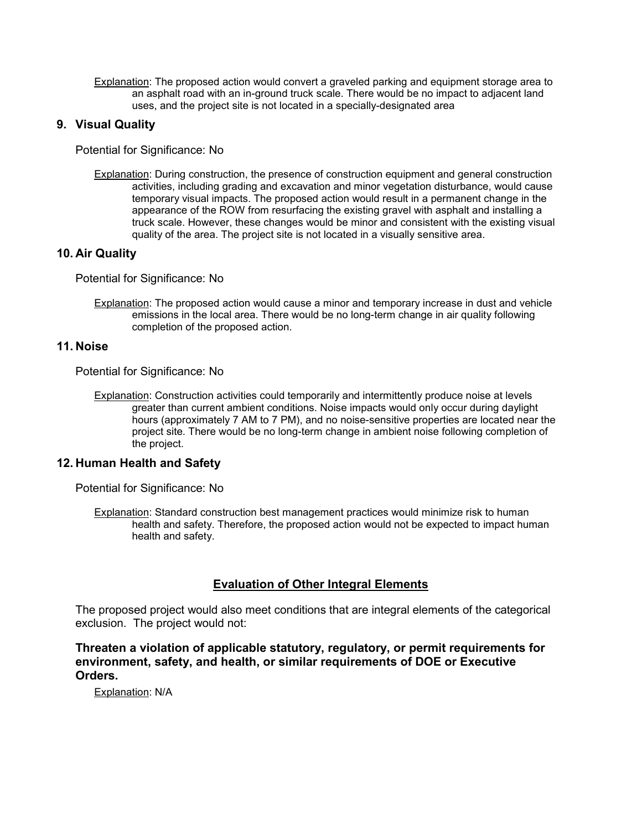Explanation: The proposed action would convert a graveled parking and equipment storage area to an asphalt road with an in-ground truck scale. There would be no impact to adjacent land uses, and the project site is not located in a specially-designated area

## **9. Visual Quality**

Potential for Significance: No

Explanation: During construction, the presence of construction equipment and general construction activities, including grading and excavation and minor vegetation disturbance, would cause temporary visual impacts. The proposed action would result in a permanent change in the appearance of the ROW from resurfacing the existing gravel with asphalt and installing a truck scale. However, these changes would be minor and consistent with the existing visual quality of the area. The project site is not located in a visually sensitive area.

# **10. Air Quality**

Potential for Significance: No

Explanation: The proposed action would cause a minor and temporary increase in dust and vehicle emissions in the local area. There would be no long-term change in air quality following completion of the proposed action.

## **11. Noise**

Potential for Significance: No

Explanation: Construction activities could temporarily and intermittently produce noise at levels greater than current ambient conditions. Noise impacts would only occur during daylight hours (approximately 7 AM to 7 PM), and no noise-sensitive properties are located near the project site. There would be no long-term change in ambient noise following completion of the project.

## **12. Human Health and Safety**

Potential for Significance: No

Explanation: Standard construction best management practices would minimize risk to human health and safety. Therefore, the proposed action would not be expected to impact human health and safety.

# **Evaluation of Other Integral Elements**

The proposed project would also meet conditions that are integral elements of the categorical exclusion. The project would not:

## **Threaten a violation of applicable statutory, regulatory, or permit requirements for environment, safety, and health, or similar requirements of DOE or Executive Orders.**

Explanation: N/A